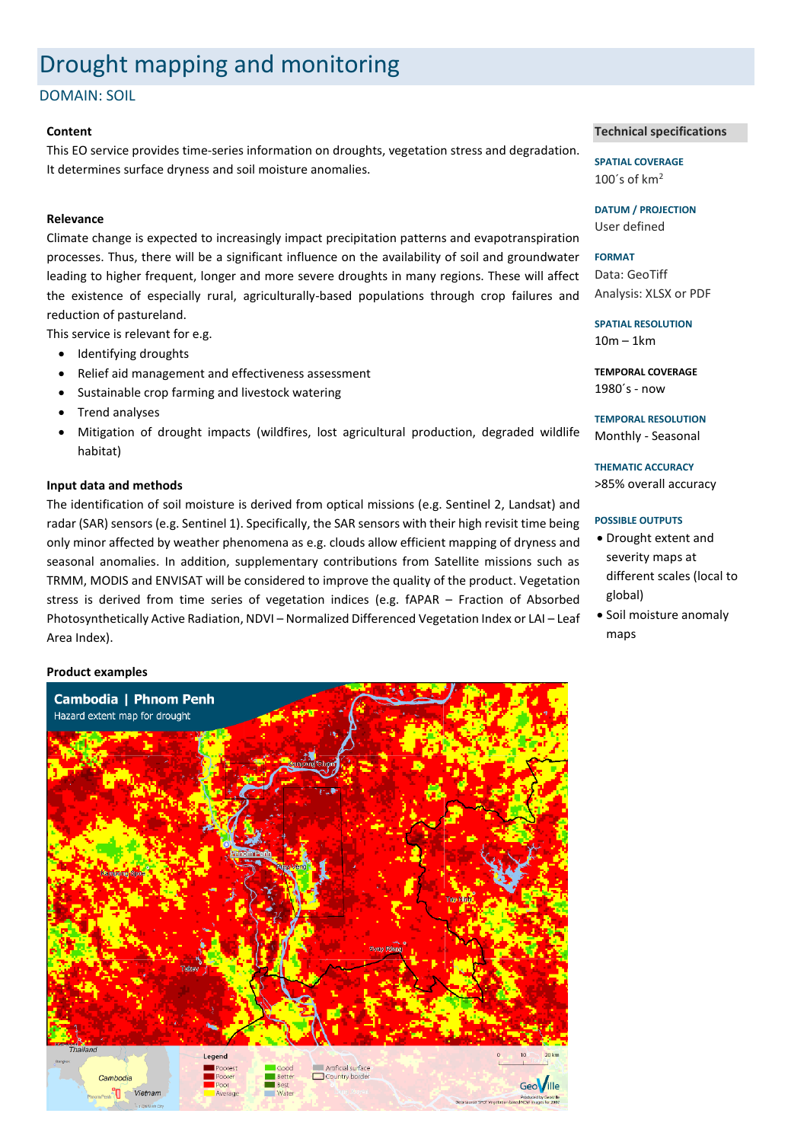# Drought mapping and monitoring

DOMAIN: SOIL

### **Content**

This EO service provides time-series information on droughts, vegetation stress and degradation. It determines surface dryness and soil moisture anomalies.

### **Relevance**

Climate change is expected to increasingly impact precipitation patterns and evapotranspiration processes. Thus, there will be a significant influence on the availability of soil and groundwater leading to higher frequent, longer and more severe droughts in many regions. These will affect the existence of especially rural, agriculturally-based populations through crop failures and reduction of pastureland.

This service is relevant for e.g.

- Identifying droughts
- Relief aid management and effectiveness assessment
- Sustainable crop farming and livestock watering
- Trend analyses
- Mitigation of drought impacts (wildfires, lost agricultural production, degraded wildlife habitat)

### **Input data and methods**

The identification of soil moisture is derived from optical missions (e.g. Sentinel 2, Landsat) and radar (SAR) sensors (e.g. Sentinel 1). Specifically, the SAR sensors with their high revisit time being only minor affected by weather phenomena as e.g. clouds allow efficient mapping of dryness and seasonal anomalies. In addition, supplementary contributions from Satellite missions such as TRMM, MODIS and ENVISAT will be considered to improve the quality of the product. Vegetation stress is derived from time series of vegetation indices (e.g. fAPAR – Fraction of Absorbed Photosynthetically Active Radiation, NDVI – Normalized Differenced Vegetation Index or LAI – Leaf Area Index).

## **Product examples**



### **Technical specifications**

**SPATIAL COVERAGE** 100 $\degree$ s of km<sup>2</sup>

**DATUM / PROJECTION** User defined

**FORMAT** Data: GeoTiff Analysis: XLSX or PDF

**SPATIAL RESOLUTION** 10m – 1km

**TEMPORAL COVERAGE** 1980´s - now

**TEMPORAL RESOLUTION** Monthly - Seasonal

**THEMATIC ACCURACY** >85% overall accuracy

### **POSSIBLE OUTPUTS**

- Drought extent and severity maps at different scales (local to global)
- Soil moisture anomaly maps